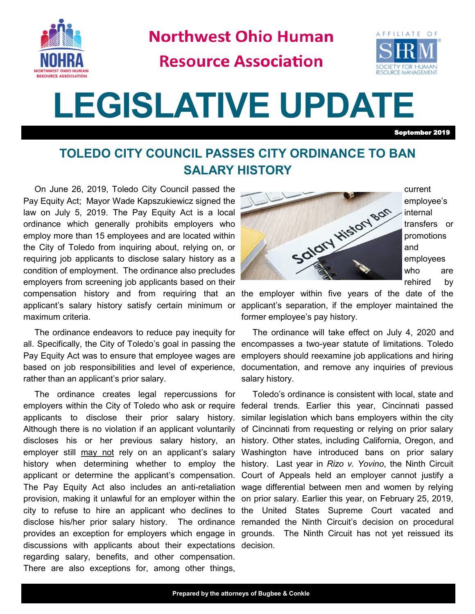

**Northwest Ohio Human** 

## **Resource Association**



# **LEGISLATIVE UPDATE**

September 2019

### **TOLEDO CITY COUNCIL PASSES CITY ORDINANCE TO BAN SALARY HISTORY**

On June 26, 2019, Toledo City Council passed the Pay Equity Act; Mayor Wade Kapszukiewicz signed the law on July 5, 2019. The Pay Equity Act is a local ordinance which generally prohibits employers who employ more than 15 employees and are located within the City of Toledo from inquiring about, relying on, or requiring job applicants to disclose salary history as a condition of employment. The ordinance also precludes employers from screening job applicants based on their compensation history and from requiring that an the employer within five years of the date of the maximum criteria.

The ordinance endeavors to reduce pay inequity for all. Specifically, the City of Toledo's goal in passing the Pay Equity Act was to ensure that employee wages are based on job responsibilities and level of experience, rather than an applicant's prior salary.

The ordinance creates legal repercussions for employers within the City of Toledo who ask or require federal trends. Earlier this year, Cincinnati passed applicants to disclose their prior salary history. similar legislation which bans employers within the city Although there is no violation if an applicant voluntarily of Cincinnati from requesting or relying on prior salary discloses his or her previous salary history, an history. Other states, including California, Oregon, and employer still <u>may not</u> rely on an applicant's salary Washington have introduced bans on prior salary applicant or determine the applicant's compensation. Court of Appeals held an employer cannot justify a The Pay Equity Act also includes an anti-retaliation wage differential between men and women by relying provision, making it unlawful for an employer within the on prior salary. Earlier this year, on February 25, 2019, city to refuse to hire an applicant who declines to the United States Supreme Court vacated and provides an exception for employers which engage in grounds. The Ninth Circuit has not yet reissued its discussions with applicants about their expectations decision. regarding salary, benefits, and other compensation. There are also exceptions for, among other things,



current employee's internal transfers or promotions and employees who are rehired by

applicant's salary history satisfy certain minimum or applicant's separation, if the employer maintained the former employee's pay history.

> The ordinance will take effect on July 4, 2020 and encompasses a two-year statute of limitations. Toledo employers should reexamine job applications and hiring documentation, and remove any inquiries of previous salary history.

history when determining whether to employ the history. Last year in *Rizo v. Yovino*, the Ninth Circuit disclose his/her prior salary history. The ordinance remanded the Ninth Circuit's decision on procedural Toledo's ordinance is consistent with local, state and